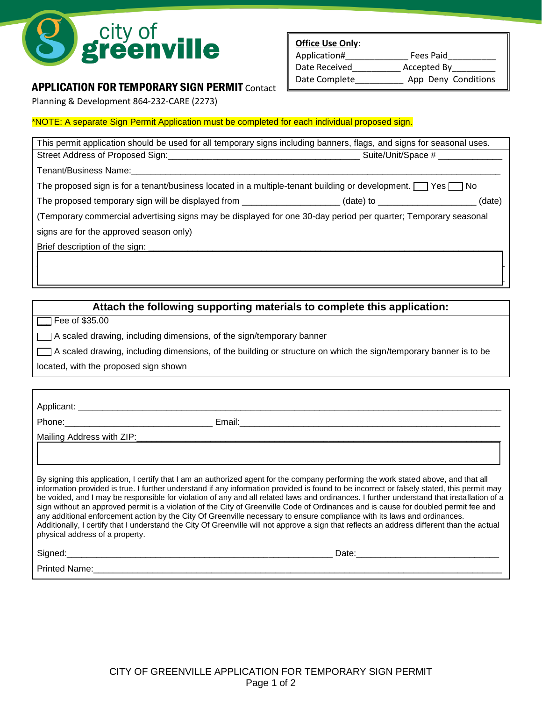

# APPLICATION FOR TEMPORARY SIGN PERMIT Contact

Planning & Development 864-232-CARE (2273)

**Office Use Only**: Application# Fees Paid Date Received\_\_\_\_\_\_\_\_\_\_\_\_\_ Accepted By

Date Complete \_\_\_\_\_\_\_\_\_\_\_ App Deny Conditions

### \*NOTE: A separate Sign Permit Application must be completed for each individual proposed sign.

| This permit application should be used for all temporary signs including banners, flags, and signs for seasonal uses. |                    |
|-----------------------------------------------------------------------------------------------------------------------|--------------------|
|                                                                                                                       | Suite/Unit/Space # |
| Tenant/Business Name:                                                                                                 |                    |
| The proposed sign is for a tenant/business located in a multiple-tenant building or development. $\Box$ Yes $\Box$ No |                    |
| The proposed temporary sign will be displayed from __________________(date) to _____________________                  | (date)             |
| (Temporary commercial advertising signs may be displayed for one 30-day period per quarter; Temporary seasonal        |                    |
| signs are for the approved season only)                                                                               |                    |
| Brief description of the sign:                                                                                        |                    |
|                                                                                                                       |                    |
|                                                                                                                       |                    |
|                                                                                                                       |                    |

# **Attach the following supporting materials to complete this application:**

 $\Box$  Fee of \$35.00

\_\_\_ A scaled drawing, including dimensions, of the sign/temporary banner

\_\_\_ A scaled drawing, including dimensions, of the building or structure on which the sign/temporary banner is to be

located, with the proposed sign shown

| physical address of a property. | By signing this application, I certify that I am an authorized agent for the company performing the work stated above, and that all<br>information provided is true. I further understand if any information provided is found to be incorrect or falsely stated, this permit may<br>be voided, and I may be responsible for violation of any and all related laws and ordinances. I further understand that installation of a<br>sign without an approved permit is a violation of the City of Greenville Code of Ordinances and is cause for doubled permit fee and<br>any additional enforcement action by the City Of Greenville necessary to ensure compliance with its laws and ordinances.<br>Additionally, I certify that I understand the City Of Greenville will not approve a sign that reflects an address different than the actual |
|---------------------------------|--------------------------------------------------------------------------------------------------------------------------------------------------------------------------------------------------------------------------------------------------------------------------------------------------------------------------------------------------------------------------------------------------------------------------------------------------------------------------------------------------------------------------------------------------------------------------------------------------------------------------------------------------------------------------------------------------------------------------------------------------------------------------------------------------------------------------------------------------|
|                                 |                                                                                                                                                                                                                                                                                                                                                                                                                                                                                                                                                                                                                                                                                                                                                                                                                                                  |
| <b>Printed Name:</b>            |                                                                                                                                                                                                                                                                                                                                                                                                                                                                                                                                                                                                                                                                                                                                                                                                                                                  |